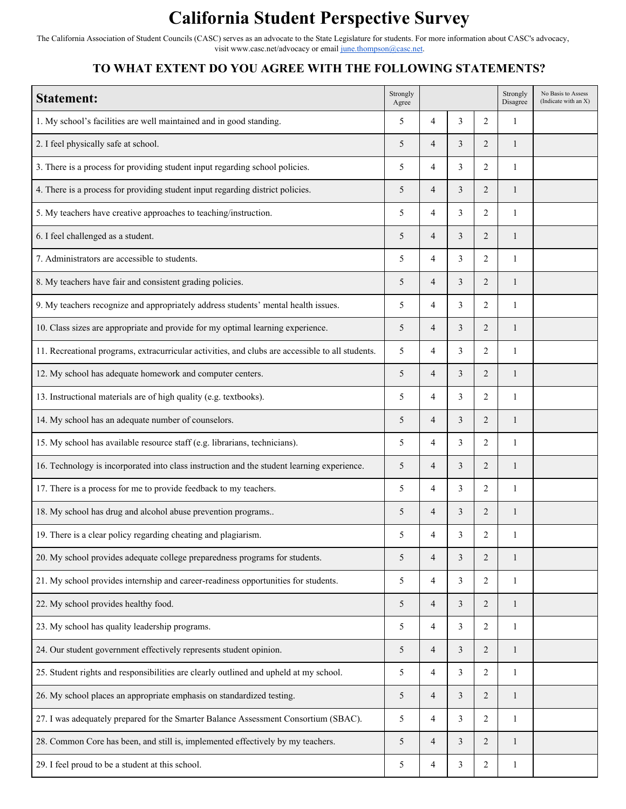## **California Student Perspective Survey**

The California Association of Student Councils (CASC) serves as an advocate to the State Legislature for students. For more information about CASC's advocacy, visit [www.casc.net/advocacy](http://www.casc.net/advocacy) or email [june.thompson@casc.net.](mailto:june.thompson@casc.net)

## **TO WHAT EXTENT DO YOU AGREE WITH THE FOLLOWING STATEMENTS?**

| <b>Statement:</b>                                                                                | Strongly<br>Agree |                |                |                | Strongly<br>Disagree | No Basis to Assess<br>(Indicate with an X) |
|--------------------------------------------------------------------------------------------------|-------------------|----------------|----------------|----------------|----------------------|--------------------------------------------|
| 1. My school's facilities are well maintained and in good standing.                              | 5                 | 4              | 3              | $\overline{2}$ | 1                    |                                            |
| 2. I feel physically safe at school.                                                             | 5                 | $\overline{4}$ | 3              | $\overline{2}$ | $\mathbf{1}$         |                                            |
| 3. There is a process for providing student input regarding school policies.                     | 5                 | 4              | 3              | $\overline{2}$ | 1                    |                                            |
| 4. There is a process for providing student input regarding district policies.                   | 5                 | $\overline{4}$ | 3              | $\overline{c}$ | 1                    |                                            |
| 5. My teachers have creative approaches to teaching/instruction.                                 | 5                 | 4              | 3              | $\overline{2}$ | 1                    |                                            |
| 6. I feel challenged as a student.                                                               | 5                 | 4              | $\mathfrak{Z}$ | $\overline{2}$ | $\mathbf{1}$         |                                            |
| 7. Administrators are accessible to students.                                                    | 5                 | 4              | 3              | 2              | 1                    |                                            |
| 8. My teachers have fair and consistent grading policies.                                        | 5                 | $\overline{4}$ | 3              | $\overline{c}$ | $\mathbf{1}$         |                                            |
| 9. My teachers recognize and appropriately address students' mental health issues.               | 5                 | 4              | 3              | $\overline{c}$ | 1                    |                                            |
| 10. Class sizes are appropriate and provide for my optimal learning experience.                  | 5                 | 4              | 3              | $\overline{2}$ | $\mathbf{1}$         |                                            |
| 11. Recreational programs, extracurricular activities, and clubs are accessible to all students. | 5                 | 4              | 3              | $\overline{2}$ | 1                    |                                            |
| 12. My school has adequate homework and computer centers.                                        | 5                 | $\overline{4}$ | 3              | $\overline{c}$ | 1                    |                                            |
| 13. Instructional materials are of high quality (e.g. textbooks).                                | 5                 | 4              | 3              | $\overline{2}$ | 1                    |                                            |
| 14. My school has an adequate number of counselors.                                              | 5                 | $\overline{4}$ | 3              | $\overline{2}$ | $\mathbf{1}$         |                                            |
| 15. My school has available resource staff (e.g. librarians, technicians).                       | 5                 | 4              | 3              | 2              | 1                    |                                            |
| 16. Technology is incorporated into class instruction and the student learning experience.       | 5                 | 4              | 3              | $\overline{c}$ | $\mathbf{1}$         |                                            |
| 17. There is a process for me to provide feedback to my teachers.                                | 5                 | 4              | 3              | $\overline{c}$ | 1                    |                                            |
| 18. My school has drug and alcohol abuse prevention programs                                     | 5                 | 4              | $\mathfrak{Z}$ | $\overline{2}$ | $\mathbf{1}$         |                                            |
| 19. There is a clear policy regarding cheating and plagiarism.                                   | 5                 | 4              | 3              | 2              | 1                    |                                            |
| 20. My school provides adequate college preparedness programs for students.                      | 5                 | $\overline{4}$ | $\mathfrak{Z}$ | $\overline{c}$ | $\mathbf{1}$         |                                            |
| 21. My school provides internship and career-readiness opportunities for students.               | 5                 | 4              | $\mathfrak{Z}$ | $\overline{c}$ | $\mathbf{1}$         |                                            |
| 22. My school provides healthy food.                                                             | 5                 | $\overline{4}$ | $\mathfrak{Z}$ | $\overline{c}$ | $\mathbf{1}$         |                                            |
| 23. My school has quality leadership programs.                                                   | 5                 | 4              | 3              | $\overline{c}$ | 1                    |                                            |
| 24. Our student government effectively represents student opinion.                               | 5                 | $\overline{4}$ | $\mathfrak{Z}$ | $\overline{c}$ | $\mathbf{1}$         |                                            |
| 25. Student rights and responsibilities are clearly outlined and upheld at my school.            | 5                 | 4              | $\mathfrak{Z}$ | $\overline{c}$ | 1                    |                                            |
| 26. My school places an appropriate emphasis on standardized testing.                            | 5                 | $\overline{4}$ | $\mathfrak{Z}$ | $\overline{c}$ | $\mathbf{1}$         |                                            |
| 27. I was adequately prepared for the Smarter Balance Assessment Consortium (SBAC).              | 5                 | 4              | 3              | $\overline{c}$ | 1                    |                                            |
| 28. Common Core has been, and still is, implemented effectively by my teachers.                  | 5                 | $\overline{4}$ | $\mathfrak{Z}$ | $\overline{c}$ | $\mathbf{1}$         |                                            |
| 29. I feel proud to be a student at this school.                                                 | 5                 | 4              | 3              | 2              | 1                    |                                            |